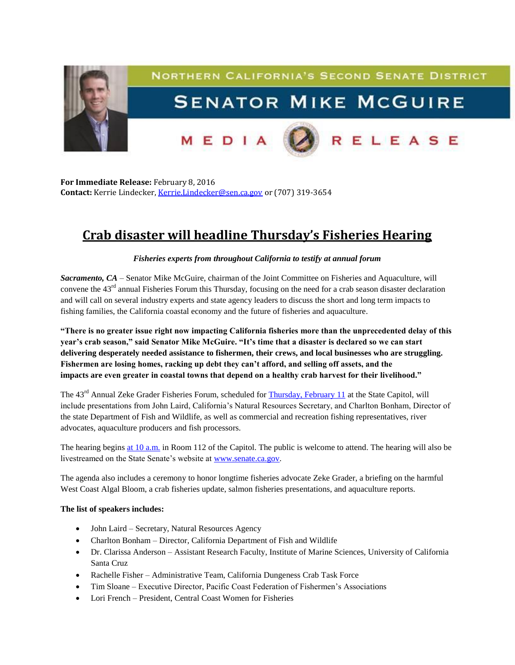

**For Immediate Release:** February 8, 2016 **Contact:** Kerrie Lindecker, [Kerrie.Lindecker@sen.ca.gov](mailto:Kerrie.Lindecker@sen.ca.gov) or (707) 319-3654

## **Crab disaster will headline Thursday's Fisheries Hearing**

## *Fisheries experts from throughout California to testify at annual forum*

*Sacramento, CA* – Senator Mike McGuire, chairman of the Joint Committee on Fisheries and Aquaculture, will convene the  $43<sup>rd</sup>$  annual Fisheries Forum this Thursday, focusing on the need for a crab season disaster declaration and will call on several industry experts and state agency leaders to discuss the short and long term impacts to fishing families, the California coastal economy and the future of fisheries and aquaculture.

**"There is no greater issue right now impacting California fisheries more than the unprecedented delay of this year's crab season," said Senator Mike McGuire. "It's time that a disaster is declared so we can start delivering desperately needed assistance to fishermen, their crews, and local businesses who are struggling. Fishermen are losing homes, racking up debt they can't afford, and selling off assets, and the impacts are even greater in coastal towns that depend on a healthy crab harvest for their livelihood."**

The 43<sup>rd</sup> Annual Zeke Grader Fisheries Forum, scheduled for [Thursday, February 11](x-apple-data-detectors://1/) at the State Capitol, will include presentations from John Laird, California's Natural Resources Secretary, and Charlton Bonham, Director of the state Department of Fish and Wildlife, as well as commercial and recreation fishing representatives, river advocates, aquaculture producers and fish processors.

The hearing begins [at 10 a.m.](x-apple-data-detectors://2/) in Room 112 of the Capitol. The public is welcome to attend. The hearing will also be livestreamed on the State Senate's website at [www.senate.ca.gov.](http://www.senate.ca.gov/)

The agenda also includes a ceremony to honor longtime fisheries advocate Zeke Grader, a briefing on the harmful West Coast Algal Bloom, a crab fisheries update, salmon fisheries presentations, and aquaculture reports.

## **The list of speakers includes:**

- John Laird Secretary, Natural Resources Agency
- Charlton Bonham Director, California Department of Fish and Wildlife
- Dr. Clarissa Anderson Assistant Research Faculty, Institute of Marine Sciences, University of California Santa Cruz
- Rachelle Fisher Administrative Team, California Dungeness Crab Task Force
- Tim Sloane Executive Director, Pacific Coast Federation of Fishermen's Associations
- Lori French President, Central Coast Women for Fisheries